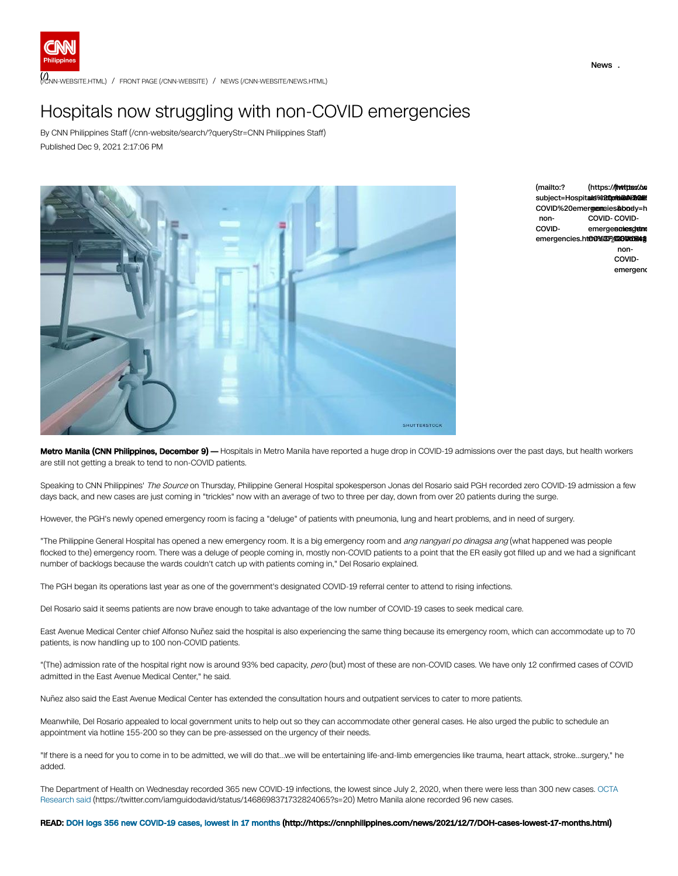

(/**)**<br>[\(/CNN-WEBSITE.HTML\)](https://cnnphilippines.com/cnn-website.html) / FRONT PAGE [\(/CNN-WEBSITE\)](https://cnnphilippines.com/cnn-website) / NEWS [\(/CNN-WEBSITE/NEWS.HTML\)](https://cnnphilippines.com/cnn-website/news.html)

## Hospitals now struggling with non-COVID emergencies

By CNN Philippines Staff [\(/cnn-website/search/?queryStr=CNN](https://cnnphilippines.com/cnn-website/search/?queryStr=CNN%20Philippines%20Staff) Philippines Staff) Published Dec 9, 2021 2:17:06 PM





Metro Manila (CNN Philippines, December 9) — Hospitals in Metro Manila have reported a huge drop in COVID-19 admissions over the past days, but health workers are still not getting a break to tend to non-COVID patients.

Speaking to CNN Philippines' The Source on Thursday, Philippine General Hospital spokesperson Jonas del Rosario said PGH recorded zero COVID-19 admission a few days back, and new cases are just coming in "trickles" now with an average of two to three per day, down from over 20 patients during the surge.

However, the PGH's newly opened emergency room is facing a "deluge" of patients with pneumonia, lung and heart problems, and in need of surgery.

"The Philippine General Hospital has opened a new emergency room. It is a big emergency room and ang nangyari po dinagsa ang (what happened was people flocked to the) emergency room. There was a deluge of people coming in, mostly non-COVID patients to a point that the ER easily got filled up and we had a significant number of backlogs because the wards couldn't catch up with patients coming in," Del Rosario explained.

The PGH began its operations last year as one of the government's designated COVID-19 referral center to attend to rising infections.

Del Rosario said it seems patients are now brave enough to take advantage of the low number of COVID-19 cases to seek medical care.

East Avenue Medical Center chief Alfonso Nuñez said the hospital is also experiencing the same thing because its emergency room, which can accommodate up to 70 patients, is now handling up to 100 non-COVID patients.

"(The) admission rate of the hospital right now is around 93% bed capacity, pero (but) most of these are non-COVID cases. We have only 12 confirmed cases of COVID admitted in the East Avenue Medical Center," he said.

Nuñez also said the East Avenue Medical Center has extended the consultation hours and outpatient services to cater to more patients.

Meanwhile, Del Rosario appealed to local government units to help out so they can accommodate other general cases. He also urged the public to schedule an appointment via hotline 155-200 so they can be pre-assessed on the urgency of their needs.

"If there is a need for you to come in to be admitted, we will do that…we will be entertaining life-and-limb emergencies like trauma, heart attack, stroke...surgery," he added.

The Department of Health on Wednesday recorded 365 new COVID-19 infections, the lowest since July 2, 2020, when there were less than 300 new cases. OCTA Research said [\(https://twitter.com/iamguidodavid/status/1468698371732824065?s=20\)](https://twitter.com/iamguidodavid/status/1468698371732824065?s=20) Metro Manila alone recorded 96 new cases.

READ: DOH logs 356 new COVID-19 cases, lowest in 17 months [\(http://https://cnnphilippines.com/news/2021/12/7/DOH-cases-lowest-17-months.html\)](http://https//cnnphilippines.com/news/2021/12/7/DOH-cases-lowest-17-months.html)

News .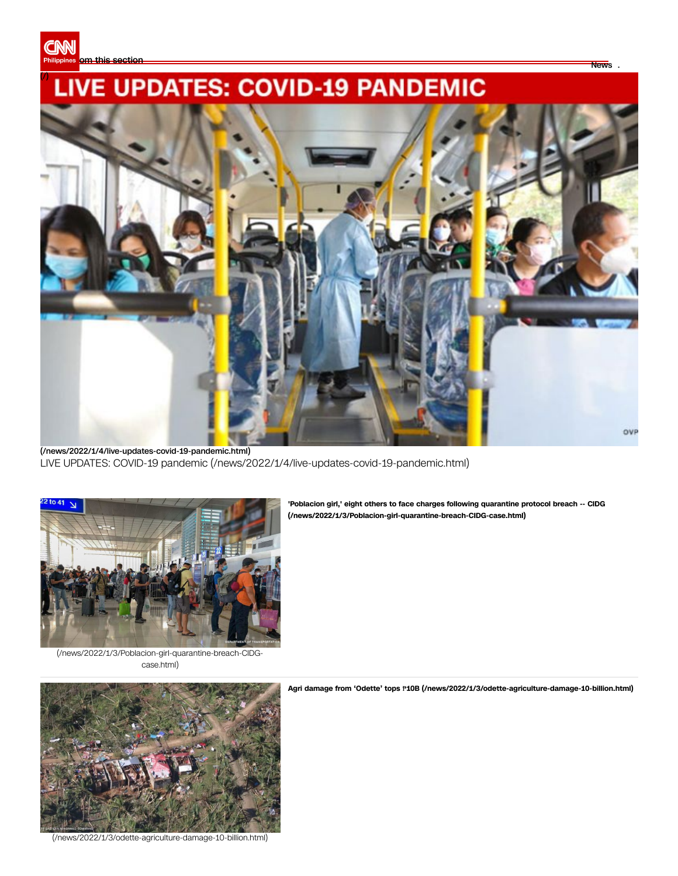

## **LIVE UPDATES: COVID-19 PANDEMIC** (/)



[\(/news/2022/1/4/live-updates-covid-19-pandemic.html\)](https://cnnphilippines.com/news/2022/1/4/live-updates-covid-19-pandemic.html) LIVE UPDATES: COVID-19 pandemic [\(/news/2022/1/4/live-updates-covid-19-pandemic.html\)](https://cnnphilippines.com/news/2022/1/4/live-updates-covid-19-pandemic.html)



**'Poblacion girl,' eight others to face charges following quarantine protocol breach -- CIDG [\(/news/2022/1/3/Poblacion-girl-quarantine-breach-CIDG-case.html\)](https://cnnphilippines.com/news/2022/1/3/Poblacion-girl-quarantine-breach-CIDG-case.html)**

News .

[\(/news/2022/1/3/Poblacion-girl-quarantine-breach-CIDG](https://cnnphilippines.com/news/2022/1/3/Poblacion-girl-quarantine-breach-CIDG-case.html)case.html)



[\(/news/2022/1/3/odette-agriculture-damage-10-billion.html\)](https://cnnphilippines.com/news/2022/1/3/odette-agriculture-damage-10-billion.html)

**Agri damage from 'Odette' tops** ₱**10B [\(/news/2022/1/3/odette-agriculture-damage-10-billion.html\)](https://cnnphilippines.com/news/2022/1/3/odette-agriculture-damage-10-billion.html)**